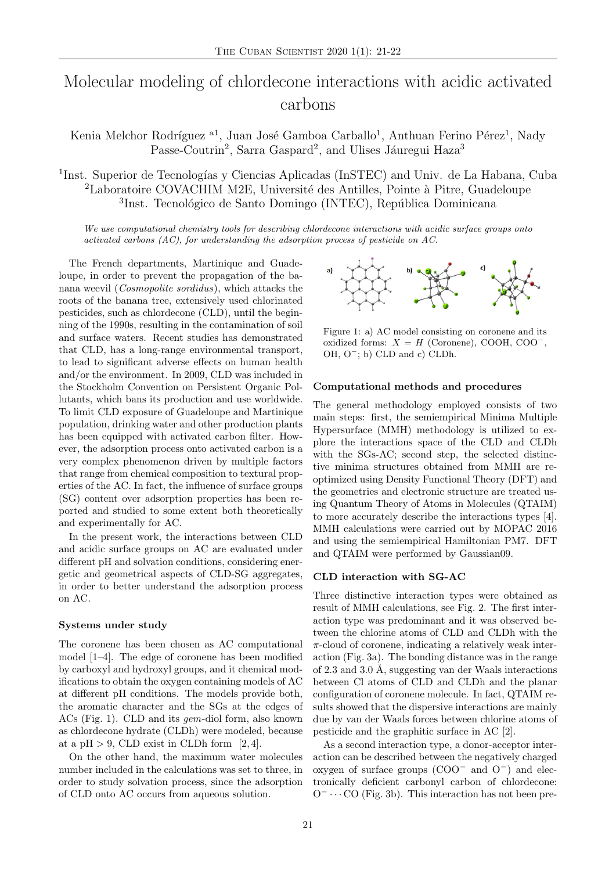# Molecular modeling of chlordecone interactions with acidic activated carbons

Kenia Melchor Rodríguez<sup>[a1](#page-1-0)</sup>, Juan José Gamboa Carballo<sup>1</sup>, Anthuan Ferino Pérez<sup>1</sup>, Nady Passe-Coutrin<sup>2</sup>, Sarra Gaspard<sup>2</sup>, and Ulises Jáuregui Haza<sup>3</sup>

<sup>1</sup>Inst. Superior de Tecnologías y Ciencias Aplicadas (InSTEC) and Univ. de La Habana, Cuba <sup>2</sup>Laboratoire COVACHIM M2E, Université des Antilles, Pointe à Pitre, Guadeloupe <sup>3</sup>Inst. Tecnológico de Santo Domingo (INTEC), República Dominicana

We use computational chemistry tools for describing chlordecone interactions with acidic surface groups onto activated carbons (AC), for understanding the adsorption process of pesticide on AC.

The French departments, Martinique and Guadeloupe, in order to prevent the propagation of the banana weevil (Cosmopolite sordidus), which attacks the roots of the banana tree, extensively used chlorinated pesticides, such as chlordecone (CLD), until the beginning of the 1990s, resulting in the contamination of soil and surface waters. Recent studies has demonstrated that CLD, has a long-range environmental transport, to lead to significant adverse effects on human health and/or the environment. In 2009, CLD was included in the Stockholm Convention on Persistent Organic Pollutants, which bans its production and use worldwide. To limit CLD exposure of Guadeloupe and Martinique population, drinking water and other production plants has been equipped with activated carbon filter. However, the adsorption process onto activated carbon is a very complex phenomenon driven by multiple factors that range from chemical composition to textural properties of the AC. In fact, the influence of surface groups (SG) content over adsorption properties has been reported and studied to some extent both theoretically and experimentally for AC.

In the present work, the interactions between CLD and acidic surface groups on AC are evaluated under different pH and solvation conditions, considering energetic and geometrical aspects of CLD-SG aggregates, in order to better understand the adsorption process on AC.

## Systems under study

The coronene has been chosen as AC computational model [\[1](#page-1-1)[–4\]](#page-1-2). The edge of coronene has been modified by carboxyl and hydroxyl groups, and it chemical modifications to obtain the oxygen containing models of AC at different pH conditions. The models provide both, the aromatic character and the SGs at the edges of ACs (Fig. [1\)](#page-0-0). CLD and its gem-diol form, also known as chlordecone hydrate (CLDh) were modeled, because at a pH  $> 9$ , CLD exist in CLDh form [\[2,](#page-1-3) [4\]](#page-1-2).

On the other hand, the maximum water molecules number included in the calculations was set to three, in order to study solvation process, since the adsorption of CLD onto AC occurs from aqueous solution.

<span id="page-0-0"></span>

Figure 1: a) AC model consisting on coronene and its oxidized forms:  $X = H$  (Coronene), COOH, COO<sup>-</sup>, OH, O<sup>−</sup>; b) CLD and c) CLDh.

### Computational methods and procedures

The general methodology employed consists of two main steps: first, the semiempirical Minima Multiple Hypersurface (MMH) methodology is utilized to explore the interactions space of the CLD and CLDh with the SGs-AC; second step, the selected distinctive minima structures obtained from MMH are reoptimized using Density Functional Theory (DFT) and the geometries and electronic structure are treated using Quantum Theory of Atoms in Molecules (QTAIM) to more accurately describe the interactions types [\[4\]](#page-1-2). MMH calculations were carried out by MOPAC 2016 and using the semiempirical Hamiltonian PM7. DFT and QTAIM were performed by Gaussian09.

#### CLD interaction with SG-AC

Three distinctive interaction types were obtained as result of MMH calculations, see Fig. [2.](#page-1-4) The first interaction type was predominant and it was observed between the chlorine atoms of CLD and CLDh with the  $\pi$ -cloud of coronene, indicating a relatively weak interaction (Fig. [3a](#page-1-5)). The bonding distance was in the range of  $2.3$  and  $3.0$  Å, suggesting van der Waals interactions between Cl atoms of CLD and CLDh and the planar configuration of coronene molecule. In fact, QTAIM results showed that the dispersive interactions are mainly due by van der Waals forces between chlorine atoms of pesticide and the graphitic surface in AC [\[2\]](#page-1-3).

As a second interaction type, a donor-acceptor interaction can be described between the negatively charged oxygen of surface groups (COO<sup>−</sup> and O<sup>−</sup>) and electronically deficient carbonyl carbon of chlordecone:  $O^ \cdots$  CO (Fig. [3b](#page-1-5)). This interaction has not been pre-